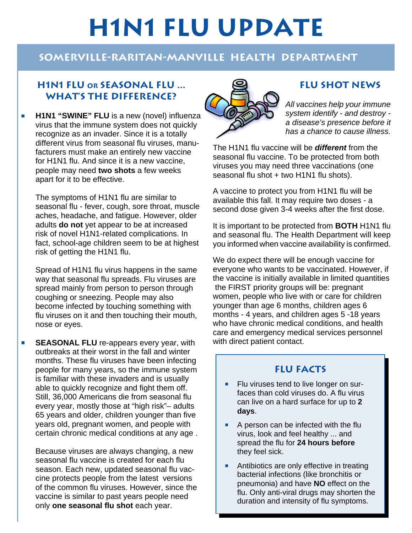# **H1N1 FLU UPDATE**

# **Somerville-Raritan-Manville Health Department**

## **H1N1 Flu or Seasonal Flu ... What's the Difference?**

**H1N1 "SWINE" FLU** is a new (novel) influenza virus that the immune system does not quickly recognize as an invader. Since it is a totally different virus from seasonal flu viruses, manufacturers must make an entirely new vaccine for H1N1 flu. And since it is a new vaccine, people may need **two shots** a few weeks apart for it to be effective.

The symptoms of H1N1 flu are similar to seasonal flu - fever, cough, sore throat, muscle aches, headache, and fatigue. However, older adults **do not** yet appear to be at increased risk of novel H1N1-related complications. In fact, school-age children seem to be at highest risk of getting the H1N1 flu.

Spread of H1N1 flu virus happens in the same way that seasonal flu spreads. Flu viruses are spread mainly from person to person through coughing or sneezing. People may also become infected by touching something with flu viruses on it and then touching their mouth, nose or eyes.

**BEASONAL FLU** re-appears every year, with outbreaks at their worst in the fall and winter months. These flu viruses have been infecting people for many years, so the immune system is familiar with these invaders and is usually able to quickly recognize and fight them off. Still, 36,000 Americans die from seasonal flu every year, mostly those at "high risk"– adults 65 years and older, children younger than five years old, pregnant women, and people with certain chronic medical conditions at any age .

Because viruses are always changing, a new seasonal flu vaccine is created for each flu season. Each new, updated seasonal flu vaccine protects people from the latest versions of the common flu viruses. However, since the vaccine is similar to past years people need only **one seasonal flu shot** each year.



# **FLU SHOT NEWS**

*All vaccines help your immune system identify - and destroy a disease's presence before it has a chance to cause illness.*

The H1N1 flu vaccine will be *different* from the seasonal flu vaccine. To be protected from both viruses you may need three vaccinations (one seasonal flu shot + two H1N1 flu shots).

A vaccine to protect you from H1N1 flu will be available this fall. It may require two doses - a second dose given 3-4 weeks after the first dose.

It is important to be protected from **BOTH** H1N1 flu and seasonal flu. The Health Department will keep you informed when vaccine availability is confirmed.

We do expect there will be enough vaccine for everyone who wants to be vaccinated. However, if the vaccine is initially available in limited quantities the FIRST priority groups will be: pregnant women, people who live with or care for children younger than age 6 months, children ages 6 months - 4 years, and children ages 5 -18 years who have chronic medical conditions, and health care and emergency medical services personnel with direct patient contact.

## **FLU FACTS**

- Flu viruses tend to live longer on surfaces than cold viruses do. A flu virus can live on a hard surface for up to **2 days**.
- A person can be infected with the flu virus, look and feel healthy ... and spread the flu for **24 hours before**  they feel sick.
- **P** Antibiotics are only effective in treating bacterial infections (like bronchitis or pneumonia) and have **NO** effect on the flu. Only anti-viral drugs may shorten the duration and intensity of flu symptoms.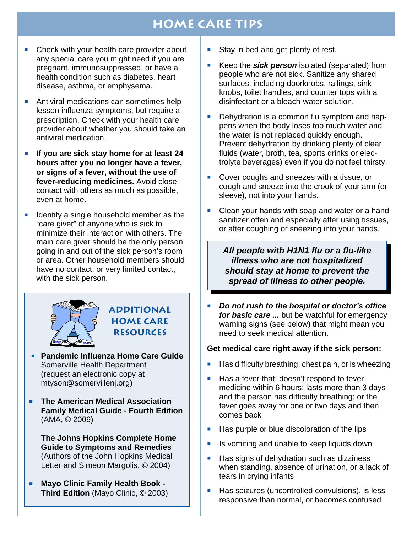# **HOME CARE TIPS**

- $\blacksquare$  Check with your health care provider about any special care you might need if you are pregnant, immunosuppressed, or have a health condition such as diabetes, heart disease, asthma, or emphysema.
- **P** Antiviral medications can sometimes help lessen influenza symptoms, but require a prescription. Check with your health care provider about whether you should take an antiviral medication.
- **F** If you are sick stay home for at least 24 **hours after you no longer have a fever, or signs of a fever, without the use of fever-reducing medicines.** Avoid close contact with others as much as possible, even at home.
- $\blacksquare$  Identify a single household member as the "care giver" of anyone who is sick to minimize their interaction with others. The main care giver should be the only person going in and out of the sick person's room or area. Other household members should have no contact, or very limited contact, with the sick person.



### **Additional HOME CARE Resources**

- **Pandemic Influenza Home Care Guide** Somerville Health Department (request an electronic copy at mtyson@somervillenj.org)
- **P The American Medical Association Family Medical Guide - Fourth Edition**  (AMA, © 2009)

**The Johns Hopkins Complete Home Guide to Symptoms and Remedies** (Authors of the John Hopkins Medical Letter and Simeon Margolis, © 2004)

**P** Mayo Clinic Family Health Book -**Third Edition** (Mayo Clinic, © 2003)

- $\blacksquare$  Stay in bed and get plenty of rest.
- **EXECT** Keep the **sick person** isolated (separated) from people who are not sick. Sanitize any shared surfaces, including doorknobs, railings, sink knobs, toilet handles, and counter tops with a disinfectant or a bleach-water solution.
- **P** Dehydration is a common flu symptom and happens when the body loses too much water and the water is not replaced quickly enough. Prevent dehydration by drinking plenty of clear fluids (water, broth, tea, sports drinks or electrolyte beverages) even if you do not feel thirsty.
- **P** Cover coughs and sneezes with a tissue, or cough and sneeze into the crook of your arm (or sleeve), not into your hands.
- **P** Clean your hands with soap and water or a hand sanitizer often and especially after using tissues, or after coughing or sneezing into your hands.

*All people with H1N1 flu or a flu-like illness who are not hospitalized should stay at home to prevent the spread of illness to other people.*

**Philfy** *Do not rush to the hospital or doctor's office for basic care ...* but be watchful for emergency warning signs (see below) that might mean you need to seek medical attention.

#### **Get medical care right away if the sick person:**

- Has difficulty breathing, chest pain, or is wheezing
- Has a fever that: doesn't respond to fever medicine within 6 hours; lasts more than 3 days and the person has difficulty breathing; or the fever goes away for one or two days and then comes back
- **-** Has purple or blue discoloration of the lips
- Is vomiting and unable to keep liquids down
- Has signs of dehydration such as dizziness when standing, absence of urination, or a lack of tears in crying infants
- **Has seizures (uncontrolled convulsions), is less** responsive than normal, or becomes confused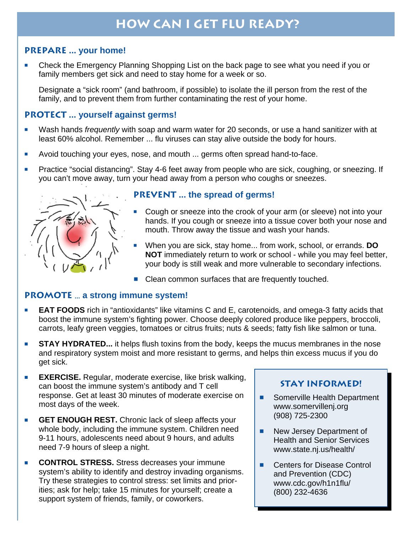# **HOW CAN I GET FLU READY?**

#### **PREPARE ... your home!**

Check the Emergency Planning Shopping List on the back page to see what you need if you or family members get sick and need to stay home for a week or so.

Designate a "sick room" (and bathroom, if possible) to isolate the ill person from the rest of the family, and to prevent them from further contaminating the rest of your home.

#### **PROTECT ... yourself against germs!**

- **P** Wash hands frequently with soap and warm water for 20 seconds, or use a hand sanitizer with at least 60% alcohol. Remember ... flu viruses can stay alive outside the body for hours.
- **Philter Avoid touching your eyes, nose, and mouth ... germs often spread hand-to-face.**
- **Practice "social distancing". Stay 4-6 feet away from people who are sick, coughing, or sneezing. If** you can't move away, turn your head away from a person who coughs or sneezes.



#### **PREVENT ... the spread of germs!**

- Cough or sneeze into the crook of your arm (or sleeve) not into your hands. If you cough or sneeze into a tissue cover both your nose and mouth. Throw away the tissue and wash your hands.
- **P** When you are sick, stay home... from work, school, or errands. **DO NOT** immediately return to work or school - while you may feel better, your body is still weak and more vulnerable to secondary infections.
- Clean common surfaces that are frequently touched.

#### **PROMOTE** ... **a strong immune system!**

- **EAT FOODS** rich in "antioxidants" like vitamins C and E, carotenoids, and omega-3 fatty acids that boost the immune system's fighting power. Choose deeply colored produce like peppers, broccoli, carrots, leafy green veggies, tomatoes or citrus fruits; nuts & seeds; fatty fish like salmon or tuna.
- **STAY HYDRATED...** it helps flush toxins from the body, keeps the mucus membranes in the nose and respiratory system moist and more resistant to germs, and helps thin excess mucus if you do get sick.
- **EXERCISE.** Regular, moderate exercise, like brisk walking, can boost the immune system's antibody and T cell response. Get at least 30 minutes of moderate exercise on most days of the week.
- **F GET ENOUGH REST.** Chronic lack of sleep affects your whole body, including the immune system. Children need 9-11 hours, adolescents need about 9 hours, and adults need 7-9 hours of sleep a night.
- **CONTROL STRESS.** Stress decreases your immune system's ability to identify and destroy invading organisms. Try these strategies to control stress: set limits and priorities; ask for help; take 15 minutes for yourself; create a support system of friends, family, or coworkers.

#### **STAY INFORMED!**

- **E** Somerville Health Department www.somervillenj.org (908) 725-2300
- **New Jersey Department of** Health and Senior Services www.state.nj.us/health/
- Centers for Disease Control and Prevention (CDC) www.cdc.gov/h1n1flu/ (800) 232-4636